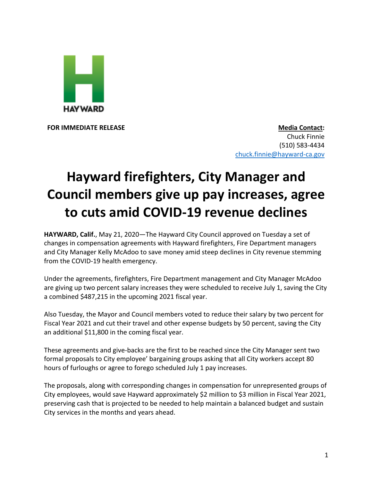

**FOR IMMEDIATE RELEASE Media Contact:** Chuck Finnie (510) 583-4434 chuck.finnie@hayward-ca.gov

## **Hayward firefighters, City Manager and Council members give up pay increases, agree to cuts amid COVID-19 revenue declines**

**HAYWARD, Calif.**, May 21, 2020—The Hayward City Council approved on Tuesday a set of changes in compensation agreements with Hayward firefighters, Fire Department managers and City Manager Kelly McAdoo to save money amid steep declines in City revenue stemming from the COVID-19 health emergency.

Under the agreements, firefighters, Fire Department management and City Manager McAdoo are giving up two percent salary increases they were scheduled to receive July 1, saving the City a combined \$487,215 in the upcoming 2021 fiscal year.

Also Tuesday, the Mayor and Council members voted to reduce their salary by two percent for Fiscal Year 2021 and cut their travel and other expense budgets by 50 percent, saving the City an additional \$11,800 in the coming fiscal year.

These agreements and give-backs are the first to be reached since the City Manager sent two formal proposals to City employee' bargaining groups asking that all City workers accept 80 hours of furloughs or agree to forego scheduled July 1 pay increases.

The proposals, along with corresponding changes in compensation for unrepresented groups of City employees, would save Hayward approximately \$2 million to \$3 million in Fiscal Year 2021, preserving cash that is projected to be needed to help maintain a balanced budget and sustain City services in the months and years ahead.